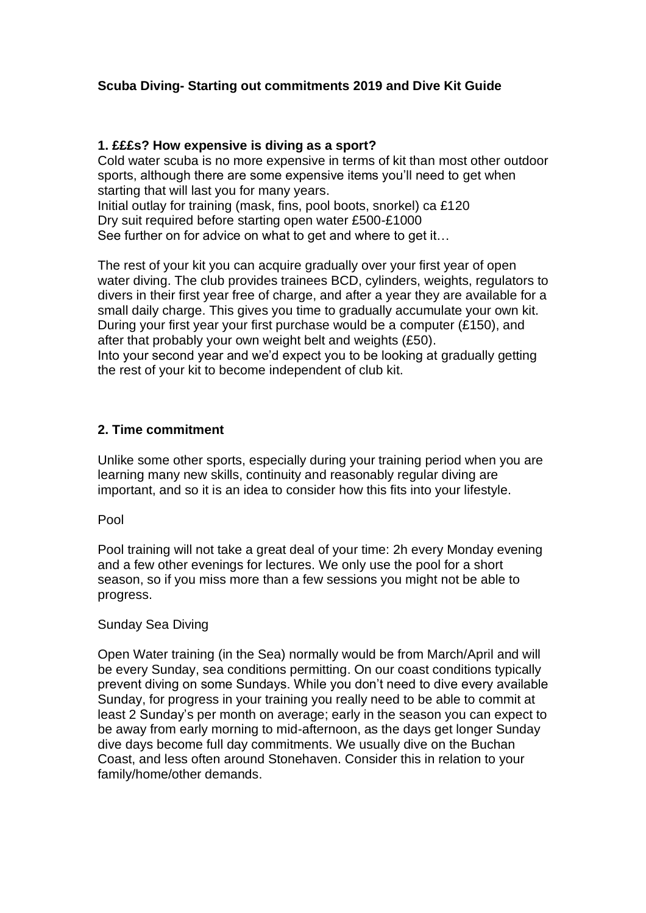# **Scuba Diving- Starting out commitments 2019 and Dive Kit Guide**

## **1. £££s? How expensive is diving as a sport?**

Cold water scuba is no more expensive in terms of kit than most other outdoor sports, although there are some expensive items you'll need to get when starting that will last you for many years. Initial outlay for training (mask, fins, pool boots, snorkel) ca £120 Dry suit required before starting open water £500-£1000

See further on for advice on what to get and where to get it…

The rest of your kit you can acquire gradually over your first year of open water diving. The club provides trainees BCD, cylinders, weights, regulators to divers in their first year free of charge, and after a year they are available for a small daily charge. This gives you time to gradually accumulate your own kit. During your first year your first purchase would be a computer (£150), and after that probably your own weight belt and weights (£50). Into your second year and we'd expect you to be looking at gradually getting the rest of your kit to become independent of club kit.

### **2. Time commitment**

Unlike some other sports, especially during your training period when you are learning many new skills, continuity and reasonably regular diving are important, and so it is an idea to consider how this fits into your lifestyle.

Pool

Pool training will not take a great deal of your time: 2h every Monday evening and a few other evenings for lectures. We only use the pool for a short season, so if you miss more than a few sessions you might not be able to progress.

#### Sunday Sea Diving

Open Water training (in the Sea) normally would be from March/April and will be every Sunday, sea conditions permitting. On our coast conditions typically prevent diving on some Sundays. While you don't need to dive every available Sunday, for progress in your training you really need to be able to commit at least 2 Sunday's per month on average; early in the season you can expect to be away from early morning to mid-afternoon, as the days get longer Sunday dive days become full day commitments. We usually dive on the Buchan Coast, and less often around Stonehaven. Consider this in relation to your family/home/other demands.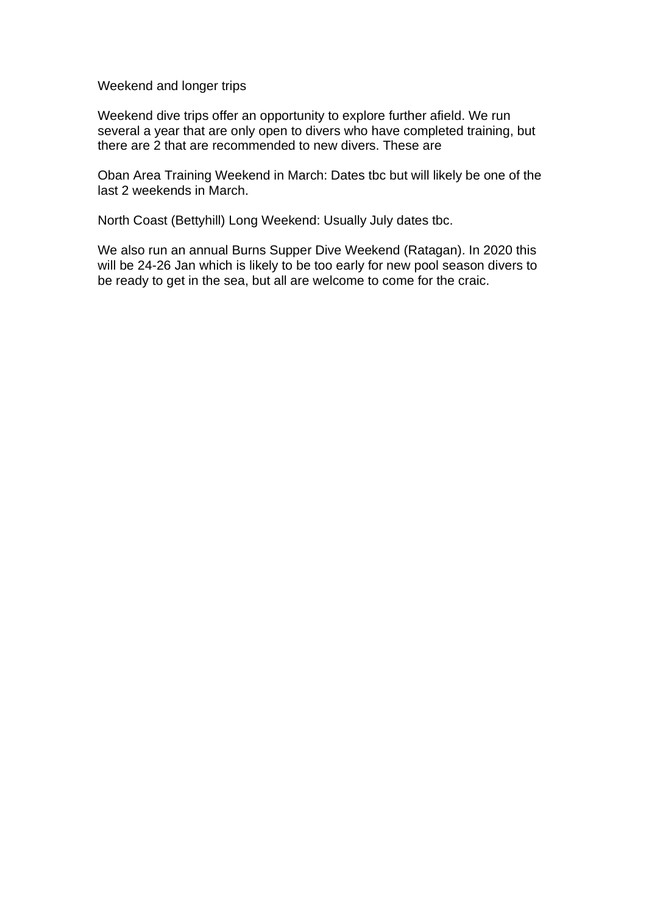Weekend and longer trips

Weekend dive trips offer an opportunity to explore further afield. We run several a year that are only open to divers who have completed training, but there are 2 that are recommended to new divers. These are

Oban Area Training Weekend in March: Dates tbc but will likely be one of the last 2 weekends in March.

North Coast (Bettyhill) Long Weekend: Usually July dates tbc.

We also run an annual Burns Supper Dive Weekend (Ratagan). In 2020 this will be 24-26 Jan which is likely to be too early for new pool season divers to be ready to get in the sea, but all are welcome to come for the craic.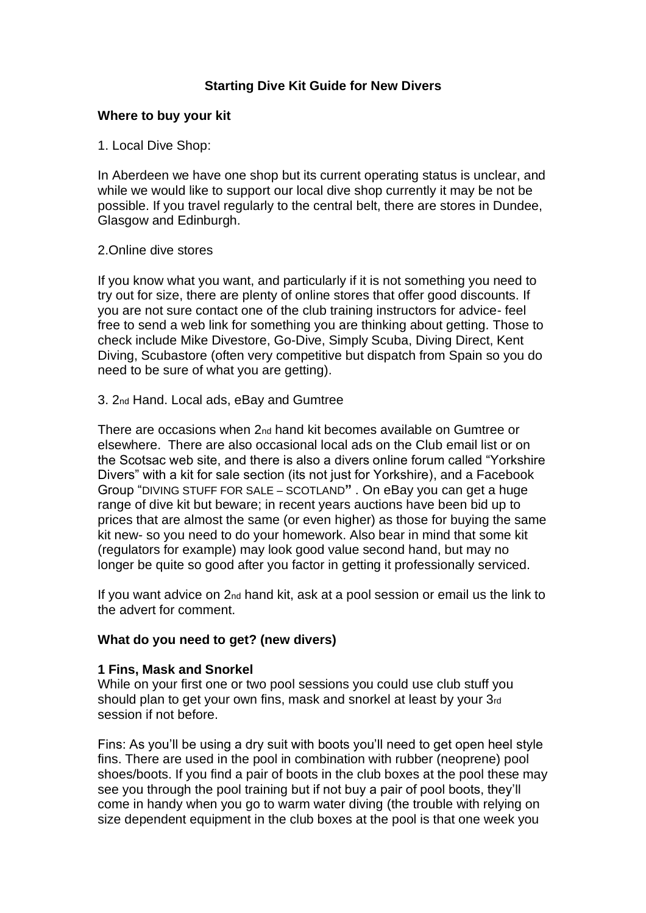## **Starting Dive Kit Guide for New Divers**

### **Where to buy your kit**

1. Local Dive Shop:

In Aberdeen we have one shop but its current operating status is unclear, and while we would like to support our local dive shop currently it may be not be possible. If you travel regularly to the central belt, there are stores in Dundee, Glasgow and Edinburgh.

### 2.Online dive stores

If you know what you want, and particularly if it is not something you need to try out for size, there are plenty of online stores that offer good discounts. If you are not sure contact one of the club training instructors for advice- feel free to send a web link for something you are thinking about getting. Those to check include Mike Divestore, Go-Dive, Simply Scuba, Diving Direct, Kent Diving, Scubastore (often very competitive but dispatch from Spain so you do need to be sure of what you are getting).

### 3. 2nd Hand. Local ads, eBay and Gumtree

There are occasions when 2nd hand kit becomes available on Gumtree or elsewhere. There are also occasional local ads on the Club email list or on the Scotsac web site, and there is also a divers online forum called "Yorkshire Divers" with a kit for sale section (its not just for Yorkshire), and a Facebook Group "DIVING STUFF FOR SALE – SCOTLAND**"** . On eBay you can get a huge range of dive kit but beware; in recent years auctions have been bid up to prices that are almost the same (or even higher) as those for buying the same kit new- so you need to do your homework. Also bear in mind that some kit (regulators for example) may look good value second hand, but may no longer be quite so good after you factor in getting it professionally serviced.

If you want advice on 2nd hand kit, ask at a pool session or email us the link to the advert for comment.

## **What do you need to get? (new divers)**

## **1 Fins, Mask and Snorkel**

While on your first one or two pool sessions you could use club stuff you should plan to get your own fins, mask and snorkel at least by your 3rd session if not before.

Fins: As you'll be using a dry suit with boots you'll need to get open heel style fins. There are used in the pool in combination with rubber (neoprene) pool shoes/boots. If you find a pair of boots in the club boxes at the pool these may see you through the pool training but if not buy a pair of pool boots, they'll come in handy when you go to warm water diving (the trouble with relying on size dependent equipment in the club boxes at the pool is that one week you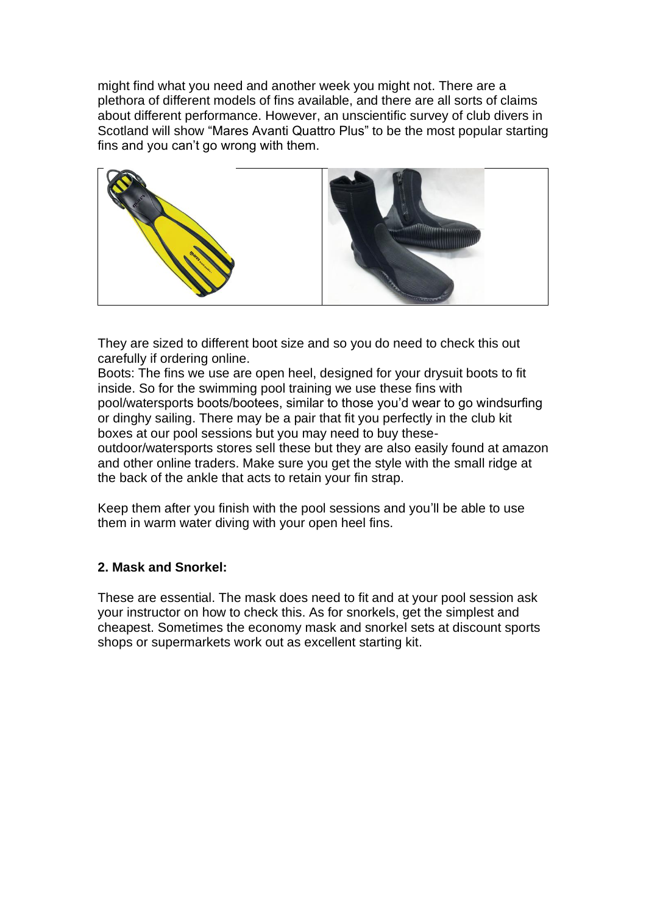might find what you need and another week you might not. There are a plethora of different models of fins available, and there are all sorts of claims about different performance. However, an unscientific survey of club divers in Scotland will show "Mares Avanti Quattro Plus" to be the most popular starting fins and you can't go wrong with them.



They are sized to different boot size and so you do need to check this out carefully if ordering online.

Boots: The fins we use are open heel, designed for your drysuit boots to fit inside. So for the swimming pool training we use these fins with pool/watersports boots/bootees, similar to those you'd wear to go windsurfing or dinghy sailing. There may be a pair that fit you perfectly in the club kit boxes at our pool sessions but you may need to buy these-

outdoor/watersports stores sell these but they are also easily found at amazon and other online traders. Make sure you get the style with the small ridge at the back of the ankle that acts to retain your fin strap.

Keep them after you finish with the pool sessions and you'll be able to use them in warm water diving with your open heel fins.

# **2. Mask and Snorkel:**

These are essential. The mask does need to fit and at your pool session ask your instructor on how to check this. As for snorkels, get the simplest and cheapest. Sometimes the economy mask and snorkel sets at discount sports shops or supermarkets work out as excellent starting kit.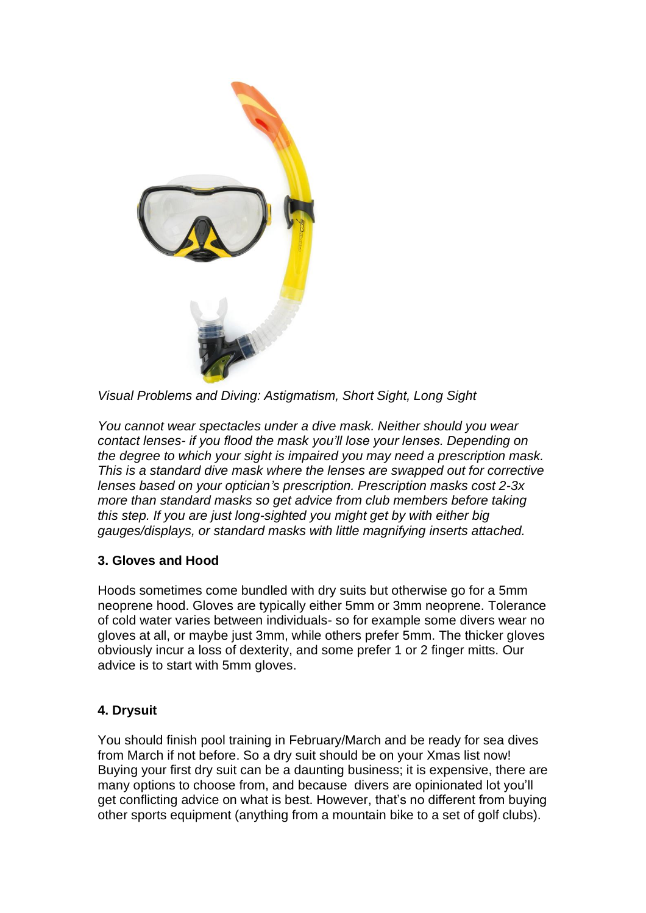

*Visual Problems and Diving: Astigmatism, Short Sight, Long Sight*

*You cannot wear spectacles under a dive mask. Neither should you wear contact lenses- if you flood the mask you'll lose your lenses. Depending on the degree to which your sight is impaired you may need a prescription mask. This is a standard dive mask where the lenses are swapped out for corrective lenses based on your optician's prescription. Prescription masks cost 2-3x more than standard masks so get advice from club members before taking this step. If you are just long-sighted you might get by with either big gauges/displays, or standard masks with little magnifying inserts attached.*

# **3. Gloves and Hood**

Hoods sometimes come bundled with dry suits but otherwise go for a 5mm neoprene hood. Gloves are typically either 5mm or 3mm neoprene. Tolerance of cold water varies between individuals- so for example some divers wear no gloves at all, or maybe just 3mm, while others prefer 5mm. The thicker gloves obviously incur a loss of dexterity, and some prefer 1 or 2 finger mitts. Our advice is to start with 5mm gloves.

# **4. Drysuit**

You should finish pool training in February/March and be ready for sea dives from March if not before. So a dry suit should be on your Xmas list now! Buying your first dry suit can be a daunting business; it is expensive, there are many options to choose from, and because divers are opinionated lot you'll get conflicting advice on what is best. However, that's no different from buying other sports equipment (anything from a mountain bike to a set of golf clubs).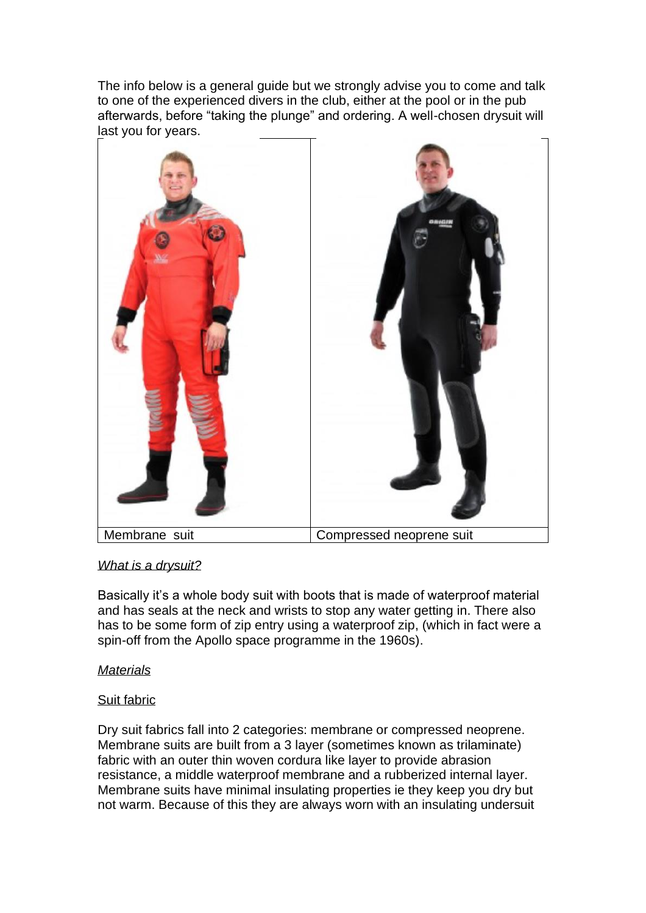The info below is a general guide but we strongly advise you to come and talk to one of the experienced divers in the club, either at the pool or in the pub afterwards, before "taking the plunge" and ordering. A well-chosen drysuit will last you for years.



# *What is a drysuit?*

Basically it's a whole body suit with boots that is made of waterproof material and has seals at the neck and wrists to stop any water getting in. There also has to be some form of zip entry using a waterproof zip, (which in fact were a spin-off from the Apollo space programme in the 1960s).

## *Materials*

## Suit fabric

Dry suit fabrics fall into 2 categories: membrane or compressed neoprene. Membrane suits are built from a 3 layer (sometimes known as trilaminate) fabric with an outer thin woven cordura like layer to provide abrasion resistance, a middle waterproof membrane and a rubberized internal layer. Membrane suits have minimal insulating properties ie they keep you dry but not warm. Because of this they are always worn with an insulating undersuit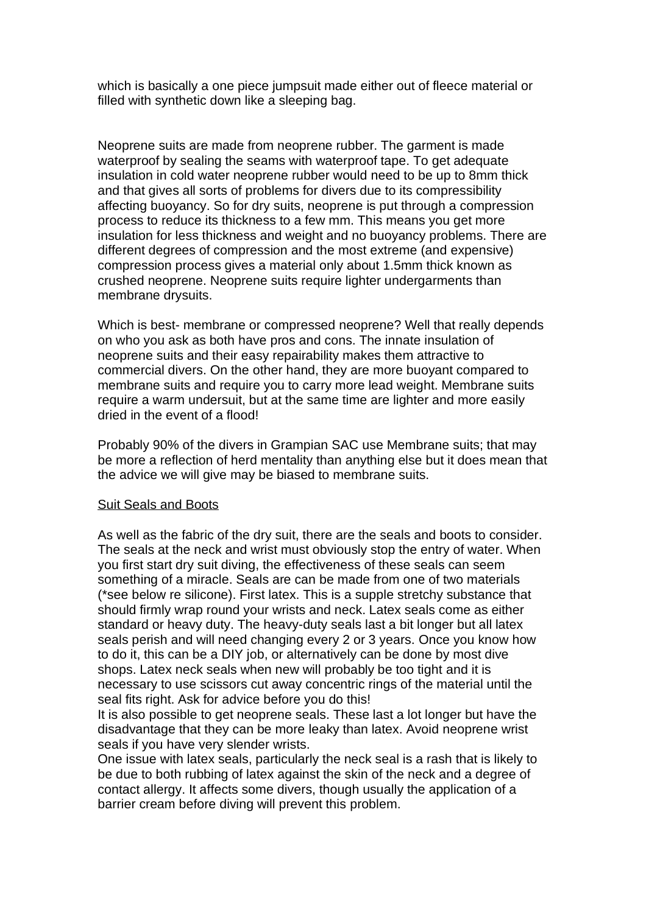which is basically a one piece jumpsuit made either out of fleece material or filled with synthetic down like a sleeping bag.

Neoprene suits are made from neoprene rubber. The garment is made waterproof by sealing the seams with waterproof tape. To get adequate insulation in cold water neoprene rubber would need to be up to 8mm thick and that gives all sorts of problems for divers due to its compressibility affecting buoyancy. So for dry suits, neoprene is put through a compression process to reduce its thickness to a few mm. This means you get more insulation for less thickness and weight and no buoyancy problems. There are different degrees of compression and the most extreme (and expensive) compression process gives a material only about 1.5mm thick known as crushed neoprene. Neoprene suits require lighter undergarments than membrane drysuits.

Which is best- membrane or compressed neoprene? Well that really depends on who you ask as both have pros and cons. The innate insulation of neoprene suits and their easy repairability makes them attractive to commercial divers. On the other hand, they are more buoyant compared to membrane suits and require you to carry more lead weight. Membrane suits require a warm undersuit, but at the same time are lighter and more easily dried in the event of a flood!

Probably 90% of the divers in Grampian SAC use Membrane suits; that may be more a reflection of herd mentality than anything else but it does mean that the advice we will give may be biased to membrane suits.

#### Suit Seals and Boots

As well as the fabric of the dry suit, there are the seals and boots to consider. The seals at the neck and wrist must obviously stop the entry of water. When you first start dry suit diving, the effectiveness of these seals can seem something of a miracle. Seals are can be made from one of two materials (\*see below re silicone). First latex. This is a supple stretchy substance that should firmly wrap round your wrists and neck. Latex seals come as either standard or heavy duty. The heavy-duty seals last a bit longer but all latex seals perish and will need changing every 2 or 3 years. Once you know how to do it, this can be a DIY job, or alternatively can be done by most dive shops. Latex neck seals when new will probably be too tight and it is necessary to use scissors cut away concentric rings of the material until the seal fits right. Ask for advice before you do this!

It is also possible to get neoprene seals. These last a lot longer but have the disadvantage that they can be more leaky than latex. Avoid neoprene wrist seals if you have very slender wrists.

One issue with latex seals, particularly the neck seal is a rash that is likely to be due to both rubbing of latex against the skin of the neck and a degree of contact allergy. It affects some divers, though usually the application of a barrier cream before diving will prevent this problem.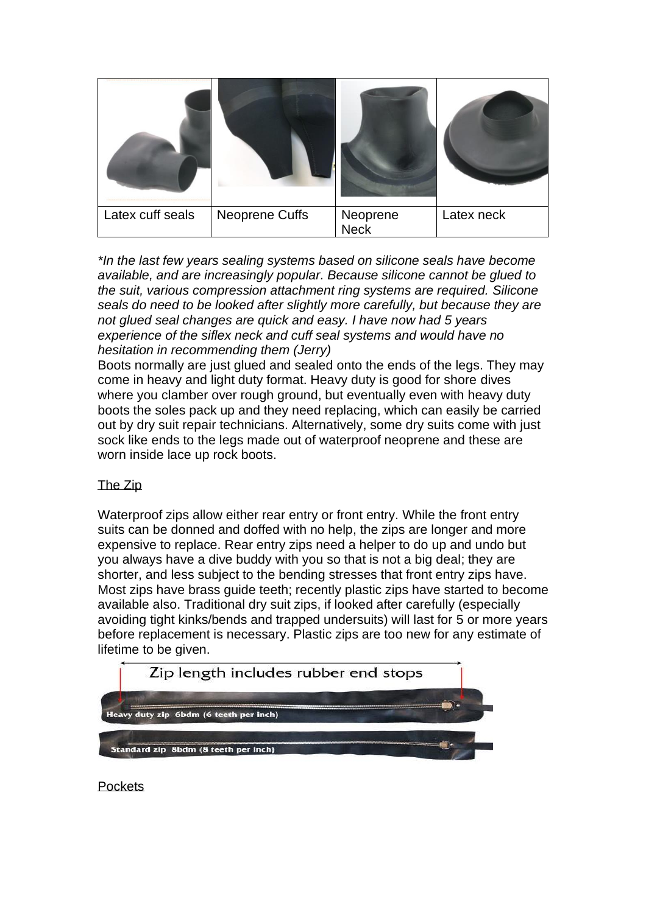| Latex cuff seals | Neoprene Cuffs | Neoprene<br><b>Neck</b> | Latex neck |
|------------------|----------------|-------------------------|------------|

*\*In the last few years sealing systems based on silicone seals have become available, and are increasingly popular. Because silicone cannot be glued to the suit, various compression attachment ring systems are required. Silicone seals do need to be looked after slightly more carefully, but because they are not glued seal changes are quick and easy. I have now had 5 years experience of the siflex neck and cuff seal systems and would have no hesitation in recommending them (Jerry)*

Boots normally are just glued and sealed onto the ends of the legs. They may come in heavy and light duty format. Heavy duty is good for shore dives where you clamber over rough ground, but eventually even with heavy duty boots the soles pack up and they need replacing, which can easily be carried out by dry suit repair technicians. Alternatively, some dry suits come with just sock like ends to the legs made out of waterproof neoprene and these are worn inside lace up rock boots.

# The Zip

Waterproof zips allow either rear entry or front entry. While the front entry suits can be donned and doffed with no help, the zips are longer and more expensive to replace. Rear entry zips need a helper to do up and undo but you always have a dive buddy with you so that is not a big deal; they are shorter, and less subject to the bending stresses that front entry zips have. Most zips have brass guide teeth; recently plastic zips have started to become available also. Traditional dry suit zips, if looked after carefully (especially avoiding tight kinks/bends and trapped undersuits) will last for 5 or more years before replacement is necessary. Plastic zips are too new for any estimate of lifetime to be given.



**Pockets**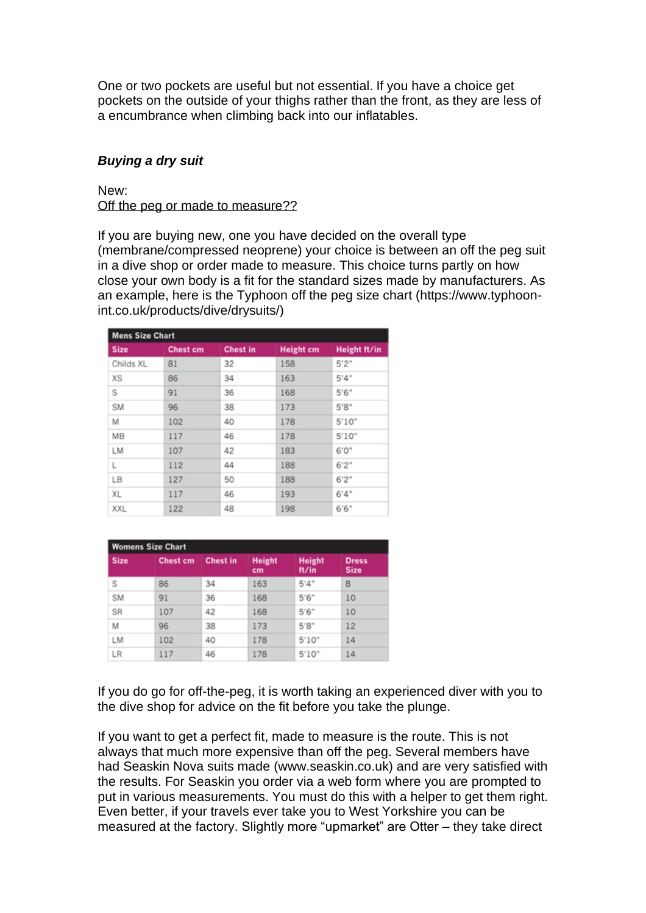One or two pockets are useful but not essential. If you have a choice get pockets on the outside of your thighs rather than the front, as they are less of a encumbrance when climbing back into our inflatables.

### *Buying a dry suit*

New: Off the peg or made to measure??

If you are buying new, one you have decided on the overall type (membrane/compressed neoprene) your choice is between an off the peg suit in a dive shop or order made to measure. This choice turns partly on how close your own body is a fit for the standard sizes made by manufacturers. As an example, here is the Typhoon off the peg size chart (https://www.typhoonint.co.uk/products/dive/drysuits/)

| <b>Mens Size Chart</b> |                 |                 |                  |              |  |  |  |
|------------------------|-----------------|-----------------|------------------|--------------|--|--|--|
| <b>Size</b>            | <b>Chest cm</b> | <b>Chest in</b> | <b>Height cm</b> | Height ft/in |  |  |  |
| Childs XL              | 81              | 32              | 158              | 5'2''        |  |  |  |
| XS                     | 86              | 34              | 163              | 5'4"         |  |  |  |
| S                      | 91              | 36              | 168              | 5'6''        |  |  |  |
| <b>SM</b>              | 96              | 38              | 173              | 5's"         |  |  |  |
| M                      | 102             | 40              | 178              | 5'10''       |  |  |  |
| MB                     | 117             | 46              | 178              | 5'10"        |  |  |  |
| <b>LM</b>              | 107             | 42              | 183              | 6'0"         |  |  |  |
| L                      | 112             | 44              | 188              | 6'2"         |  |  |  |
| LB                     | 127             | 50              | 188              | 6'2"         |  |  |  |
| XL                     | 117             | 46              | 193              | 6'4''        |  |  |  |
| XXL                    | 122             | 48              | 198              | 6'6''        |  |  |  |

| <b>Womens Size Chart</b> |                 |                 |                     |                        |                             |  |
|--------------------------|-----------------|-----------------|---------------------|------------------------|-----------------------------|--|
| <b>Size</b>              | <b>Chest cm</b> | <b>Chest in</b> | <b>Height</b><br>cm | <b>Height</b><br>ft/in | <b>Dress</b><br><b>Size</b> |  |
| S                        | 86              | 34              | 163                 | 5'4"                   | 8                           |  |
| <b>SM</b>                | 91              | 36              | 168                 | 5'6''                  | 10                          |  |
| SR                       | 107             | 42              | 168                 | 5'6''                  | 10                          |  |
| M                        | 96              | 38              | 173                 | 5'8''                  | 12                          |  |
| LM                       | 102             | 40              | 178                 | 5'10''                 | 14                          |  |
| LR                       | 117             | 46              | 178                 | 5'10"                  | 14                          |  |

If you do go for off-the-peg, it is worth taking an experienced diver with you to the dive shop for advice on the fit before you take the plunge.

If you want to get a perfect fit, made to measure is the route. This is not always that much more expensive than off the peg. Several members have had Seaskin Nova suits made (www.seaskin.co.uk) and are very satisfied with the results. For Seaskin you order via a web form where you are prompted to put in various measurements. You must do this with a helper to get them right. Even better, if your travels ever take you to West Yorkshire you can be measured at the factory. Slightly more "upmarket" are Otter – they take direct